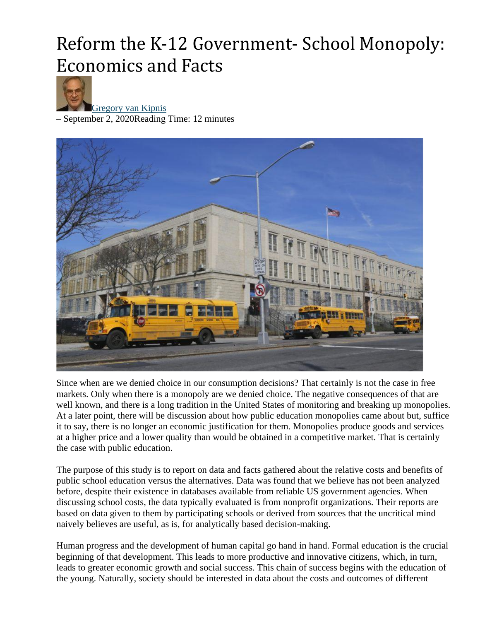# Reform the K-12 Government- School Monopoly: Economics and Facts



[Gregory van Kipnis](https://www.aier.org/staffs/gregg-van-kipnis/)

– September 2, 2020Reading Time: 12 minutes



Since when are we denied choice in our consumption decisions? That certainly is not the case in free markets. Only when there is a monopoly are we denied choice. The negative consequences of that are well known, and there is a long tradition in the United States of monitoring and breaking up monopolies. At a later point, there will be discussion about how public education monopolies came about but, suffice it to say, there is no longer an economic justification for them. Monopolies produce goods and services at a higher price and a lower quality than would be obtained in a competitive market. That is certainly the case with public education.

The purpose of this study is to report on data and facts gathered about the relative costs and benefits of public school education versus the alternatives. Data was found that we believe has not been analyzed before, despite their existence in databases available from reliable US government agencies. When discussing school costs, the data typically evaluated is from nonprofit organizations. Their reports are based on data given to them by participating schools or derived from sources that the uncritical mind naively believes are useful, as is, for analytically based decision-making.

Human progress and the development of human capital go hand in hand. Formal education is the crucial beginning of that development. This leads to more productive and innovative citizens, which, in turn, leads to greater economic growth and social success. This chain of success begins with the education of the young. Naturally, society should be interested in data about the costs and outcomes of different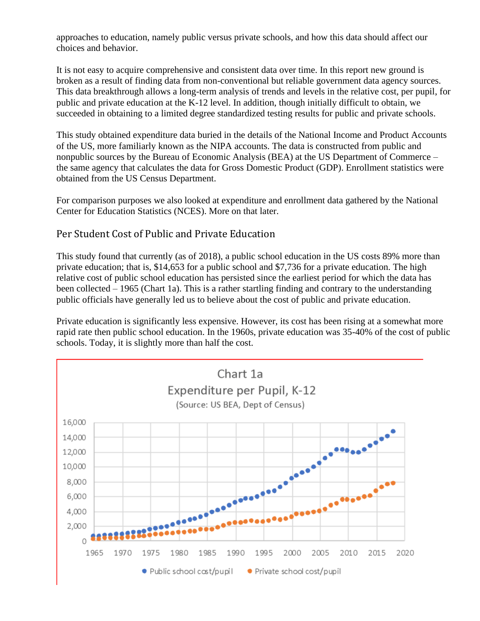approaches to education, namely public versus private schools, and how this data should affect our choices and behavior.

It is not easy to acquire comprehensive and consistent data over time. In this report new ground is broken as a result of finding data from non-conventional but reliable government data agency sources. This data breakthrough allows a long-term analysis of trends and levels in the relative cost, per pupil, for public and private education at the K-12 level. In addition, though initially difficult to obtain, we succeeded in obtaining to a limited degree standardized testing results for public and private schools.

This study obtained expenditure data buried in the details of the National Income and Product Accounts of the US, more familiarly known as the NIPA accounts. The data is constructed from public and nonpublic sources by the Bureau of Economic Analysis (BEA) at the US Department of Commerce – the same agency that calculates the data for Gross Domestic Product (GDP). Enrollment statistics were obtained from the US Census Department.

For comparison purposes we also looked at expenditure and enrollment data gathered by the National Center for Education Statistics (NCES). More on that later.

## Per Student Cost of Public and Private Education

This study found that currently (as of 2018), a public school education in the US costs 89% more than private education; that is, \$14,653 for a public school and \$7,736 for a private education. The high relative cost of public school education has persisted since the earliest period for which the data has been collected – 1965 (Chart 1a). This is a rather startling finding and contrary to the understanding public officials have generally led us to believe about the cost of public and private education.

Private education is significantly less expensive. However, its cost has been rising at a somewhat more rapid rate then public school education. In the 1960s, private education was 35-40% of the cost of public schools. Today, it is slightly more than half the cost.

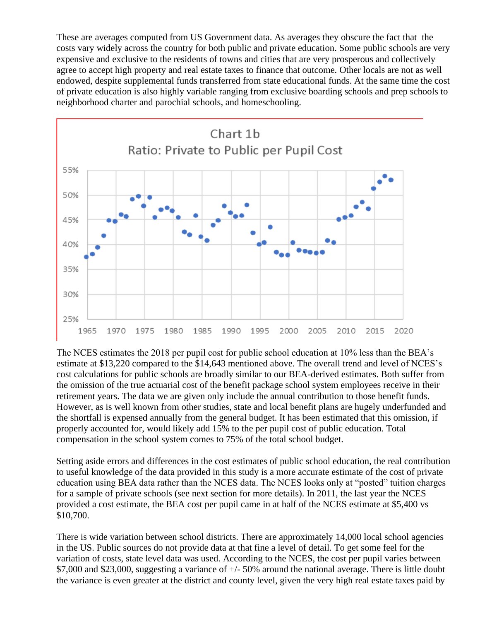These are averages computed from US Government data. As averages they obscure the fact that the costs vary widely across the country for both public and private education. Some public schools are very expensive and exclusive to the residents of towns and cities that are very prosperous and collectively agree to accept high property and real estate taxes to finance that outcome. Other locals are not as well endowed, despite supplemental funds transferred from state educational funds. At the same time the cost of private education is also highly variable ranging from exclusive boarding schools and prep schools to neighborhood charter and parochial schools, and homeschooling.



The NCES estimates the 2018 per pupil cost for public school education at 10% less than the BEA's estimate at \$13,220 compared to the \$14,643 mentioned above. The overall trend and level of NCES's cost calculations for public schools are broadly similar to our BEA-derived estimates. Both suffer from the omission of the true actuarial cost of the benefit package school system employees receive in their retirement years. The data we are given only include the annual contribution to those benefit funds. However, as is well known from other studies, state and local benefit plans are hugely underfunded and the shortfall is expensed annually from the general budget. It has been estimated that this omission, if properly accounted for, would likely add 15% to the per pupil cost of public education. Total compensation in the school system comes to 75% of the total school budget.

Setting aside errors and differences in the cost estimates of public school education, the real contribution to useful knowledge of the data provided in this study is a more accurate estimate of the cost of private education using BEA data rather than the NCES data. The NCES looks only at "posted" tuition charges for a sample of private schools (see next section for more details). In 2011, the last year the NCES provided a cost estimate, the BEA cost per pupil came in at half of the NCES estimate at \$5,400 vs \$10,700.

There is wide variation between school districts. There are approximately 14,000 local school agencies in the US. Public sources do not provide data at that fine a level of detail. To get some feel for the variation of costs, state level data was used. According to the NCES, the cost per pupil varies between \$7,000 and \$23,000, suggesting a variance of +/- 50% around the national average. There is little doubt the variance is even greater at the district and county level, given the very high real estate taxes paid by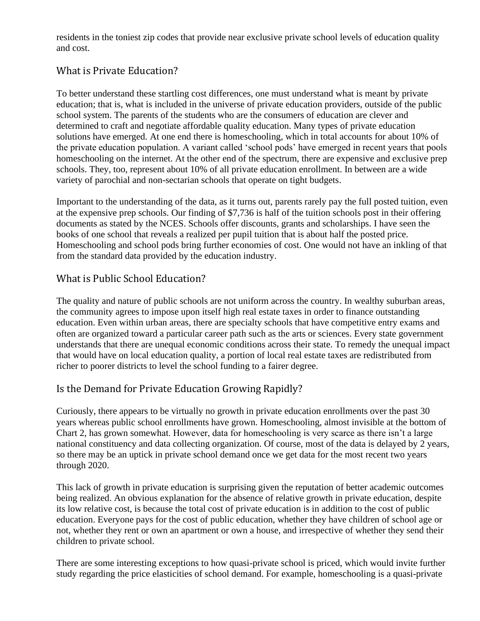residents in the toniest zip codes that provide near exclusive private school levels of education quality and cost.

## What is Private Education?

To better understand these startling cost differences, one must understand what is meant by private education; that is, what is included in the universe of private education providers, outside of the public school system. The parents of the students who are the consumers of education are clever and determined to craft and negotiate affordable quality education. Many types of private education solutions have emerged. At one end there is homeschooling, which in total accounts for about 10% of the private education population. A variant called 'school pods' have emerged in recent years that pools homeschooling on the internet. At the other end of the spectrum, there are expensive and exclusive prep schools. They, too, represent about 10% of all private education enrollment. In between are a wide variety of parochial and non-sectarian schools that operate on tight budgets.

Important to the understanding of the data, as it turns out, parents rarely pay the full posted tuition, even at the expensive prep schools. Our finding of \$7,736 is half of the tuition schools post in their offering documents as stated by the NCES. Schools offer discounts, grants and scholarships. I have seen the books of one school that reveals a realized per pupil tuition that is about half the posted price. Homeschooling and school pods bring further economies of cost. One would not have an inkling of that from the standard data provided by the education industry.

## What is Public School Education?

The quality and nature of public schools are not uniform across the country. In wealthy suburban areas, the community agrees to impose upon itself high real estate taxes in order to finance outstanding education. Even within urban areas, there are specialty schools that have competitive entry exams and often are organized toward a particular career path such as the arts or sciences. Every state government understands that there are unequal economic conditions across their state. To remedy the unequal impact that would have on local education quality, a portion of local real estate taxes are redistributed from richer to poorer districts to level the school funding to a fairer degree.

## Is the Demand for Private Education Growing Rapidly?

Curiously, there appears to be virtually no growth in private education enrollments over the past 30 years whereas public school enrollments have grown. Homeschooling, almost invisible at the bottom of Chart 2, has grown somewhat. However, data for homeschooling is very scarce as there isn't a large national constituency and data collecting organization. Of course, most of the data is delayed by 2 years, so there may be an uptick in private school demand once we get data for the most recent two years through 2020.

This lack of growth in private education is surprising given the reputation of better academic outcomes being realized. An obvious explanation for the absence of relative growth in private education, despite its low relative cost, is because the total cost of private education is in addition to the cost of public education. Everyone pays for the cost of public education, whether they have children of school age or not, whether they rent or own an apartment or own a house, and irrespective of whether they send their children to private school.

There are some interesting exceptions to how quasi-private school is priced, which would invite further study regarding the price elasticities of school demand. For example, homeschooling is a quasi-private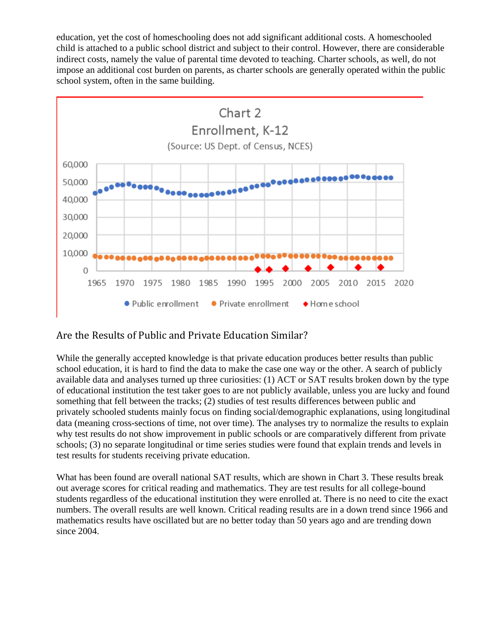education, yet the cost of homeschooling does not add significant additional costs. A homeschooled child is attached to a public school district and subject to their control. However, there are considerable indirect costs, namely the value of parental time devoted to teaching. Charter schools, as well, do not impose an additional cost burden on parents, as charter schools are generally operated within the public school system, often in the same building.



## Are the Results of Public and Private Education Similar?

While the generally accepted knowledge is that private education produces better results than public school education, it is hard to find the data to make the case one way or the other. A search of publicly available data and analyses turned up three curiosities: (1) ACT or SAT results broken down by the type of educational institution the test taker goes to are not publicly available, unless you are lucky and found something that fell between the tracks; (2) studies of test results differences between public and privately schooled students mainly focus on finding social/demographic explanations, using longitudinal data (meaning cross-sections of time, not over time). The analyses try to normalize the results to explain why test results do not show improvement in public schools or are comparatively different from private schools; (3) no separate longitudinal or time series studies were found that explain trends and levels in test results for students receiving private education.

What has been found are overall national SAT results, which are shown in Chart 3. These results break out average scores for critical reading and mathematics. They are test results for all college-bound students regardless of the educational institution they were enrolled at. There is no need to cite the exact numbers. The overall results are well known. Critical reading results are in a down trend since 1966 and mathematics results have oscillated but are no better today than 50 years ago and are trending down since 2004.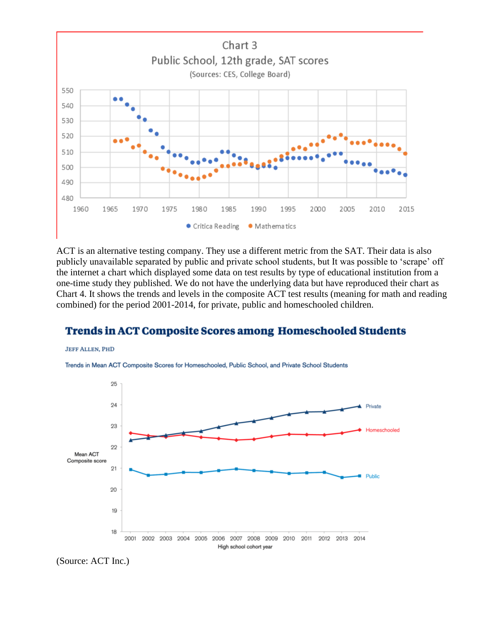

ACT is an alternative testing company. They use a different metric from the SAT. Their data is also publicly unavailable separated by public and private school students, but It was possible to 'scrape' off the internet a chart which displayed some data on test results by type of educational institution from a one-time study they published. We do not have the underlying data but have reproduced their chart as Chart 4. It shows the trends and levels in the composite ACT test results (meaning for math and reading combined) for the period 2001-2014, for private, public and homeschooled children.

## **Trends in ACT Composite Scores among Homeschooled Students**







(Source: ACT Inc.)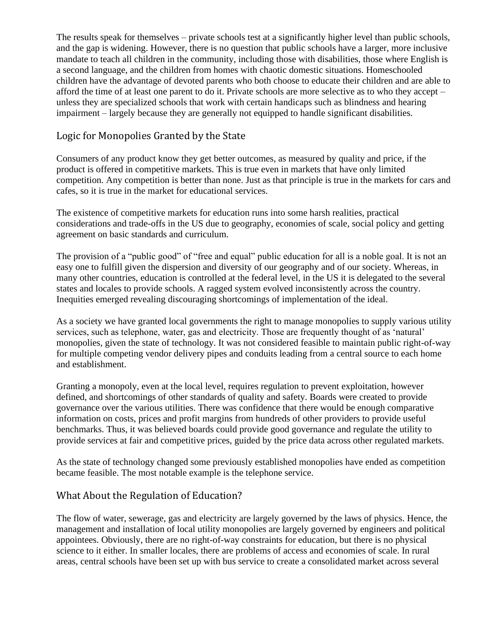The results speak for themselves – private schools test at a significantly higher level than public schools, and the gap is widening. However, there is no question that public schools have a larger, more inclusive mandate to teach all children in the community, including those with disabilities, those where English is a second language, and the children from homes with chaotic domestic situations. Homeschooled children have the advantage of devoted parents who both choose to educate their children and are able to afford the time of at least one parent to do it. Private schools are more selective as to who they accept – unless they are specialized schools that work with certain handicaps such as blindness and hearing impairment – largely because they are generally not equipped to handle significant disabilities.

## Logic for Monopolies Granted by the State

Consumers of any product know they get better outcomes, as measured by quality and price, if the product is offered in competitive markets. This is true even in markets that have only limited competition. Any competition is better than none. Just as that principle is true in the markets for cars and cafes, so it is true in the market for educational services.

The existence of competitive markets for education runs into some harsh realities, practical considerations and trade-offs in the US due to geography, economies of scale, social policy and getting agreement on basic standards and curriculum.

The provision of a "public good" of "free and equal" public education for all is a noble goal. It is not an easy one to fulfill given the dispersion and diversity of our geography and of our society. Whereas, in many other countries, education is controlled at the federal level, in the US it is delegated to the several states and locales to provide schools. A ragged system evolved inconsistently across the country. Inequities emerged revealing discouraging shortcomings of implementation of the ideal.

As a society we have granted local governments the right to manage monopolies to supply various utility services, such as telephone, water, gas and electricity. Those are frequently thought of as 'natural' monopolies, given the state of technology. It was not considered feasible to maintain public right-of-way for multiple competing vendor delivery pipes and conduits leading from a central source to each home and establishment.

Granting a monopoly, even at the local level, requires regulation to prevent exploitation, however defined, and shortcomings of other standards of quality and safety. Boards were created to provide governance over the various utilities. There was confidence that there would be enough comparative information on costs, prices and profit margins from hundreds of other providers to provide useful benchmarks. Thus, it was believed boards could provide good governance and regulate the utility to provide services at fair and competitive prices, guided by the price data across other regulated markets.

As the state of technology changed some previously established monopolies have ended as competition became feasible. The most notable example is the telephone service.

## What About the Regulation of Education?

The flow of water, sewerage, gas and electricity are largely governed by the laws of physics. Hence, the management and installation of local utility monopolies are largely governed by engineers and political appointees. Obviously, there are no right-of-way constraints for education, but there is no physical science to it either. In smaller locales, there are problems of access and economies of scale. In rural areas, central schools have been set up with bus service to create a consolidated market across several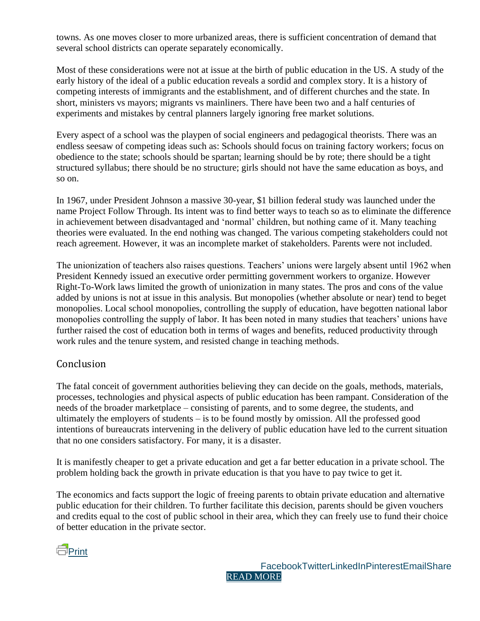towns. As one moves closer to more urbanized areas, there is sufficient concentration of demand that several school districts can operate separately economically.

Most of these considerations were not at issue at the birth of public education in the US. A study of the early history of the ideal of a public education reveals a sordid and complex story. It is a history of competing interests of immigrants and the establishment, and of different churches and the state. In short, ministers vs mayors; migrants vs mainliners. There have been two and a half centuries of experiments and mistakes by central planners largely ignoring free market solutions.

Every aspect of a school was the playpen of social engineers and pedagogical theorists. There was an endless seesaw of competing ideas such as: Schools should focus on training factory workers; focus on obedience to the state; schools should be spartan; learning should be by rote; there should be a tight structured syllabus; there should be no structure; girls should not have the same education as boys, and so on.

In 1967, under President Johnson a massive 30-year, \$1 billion federal study was launched under the name Project Follow Through. Its intent was to find better ways to teach so as to eliminate the difference in achievement between disadvantaged and 'normal' children, but nothing came of it. Many teaching theories were evaluated. In the end nothing was changed. The various competing stakeholders could not reach agreement. However, it was an incomplete market of stakeholders. Parents were not included.

The unionization of teachers also raises questions. Teachers' unions were largely absent until 1962 when President Kennedy issued an executive order permitting government workers to organize. However Right-To-Work laws limited the growth of unionization in many states. The pros and cons of the value added by unions is not at issue in this analysis. But monopolies (whether absolute or near) tend to beget monopolies. Local school monopolies, controlling the supply of education, have begotten national labor monopolies controlling the supply of labor. It has been noted in many studies that teachers' unions have further raised the cost of education both in terms of wages and benefits, reduced productivity through work rules and the tenure system, and resisted change in teaching methods.

## Conclusion

The fatal conceit of government authorities believing they can decide on the goals, methods, materials, processes, technologies and physical aspects of public education has been rampant. Consideration of the needs of the broader marketplace – consisting of parents, and to some degree, the students, and ultimately the employers of students – is to be found mostly by omission. All the professed good intentions of bureaucrats intervening in the delivery of public education have led to the current situation that no one considers satisfactory. For many, it is a disaster.

It is manifestly cheaper to get a private education and get a far better education in a private school. The problem holding back the growth in private education is that you have to pay twice to get it.

The economics and facts support the logic of freeing parents to obtain private education and alternative public education for their children. To further facilitate this decision, parents should be given vouchers and credits equal to the cost of public school in their area, which they can freely use to fund their choice of better education in the private sector.